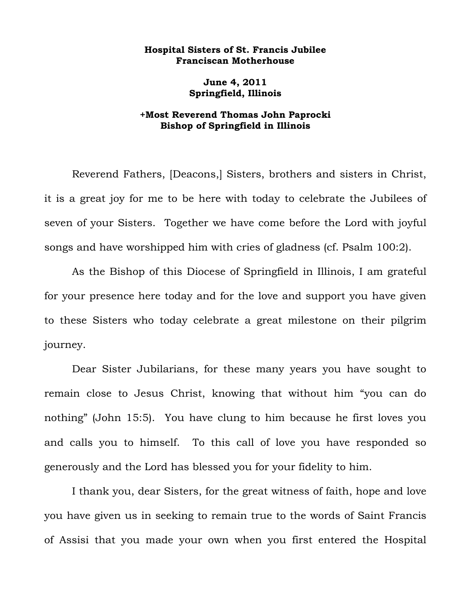## **Hospital Sisters of St. Francis Jubilee Franciscan Motherhouse**

**June 4, 2011 Springfield, Illinois** 

## **+Most Reverend Thomas John Paprocki Bishop of Springfield in Illinois**

Reverend Fathers, [Deacons,] Sisters, brothers and sisters in Christ, it is a great joy for me to be here with today to celebrate the Jubilees of seven of your Sisters. Together we have come before the Lord with joyful songs and have worshipped him with cries of gladness (cf. Psalm 100:2).

 As the Bishop of this Diocese of Springfield in Illinois, I am grateful for your presence here today and for the love and support you have given to these Sisters who today celebrate a great milestone on their pilgrim journey.

Dear Sister Jubilarians, for these many years you have sought to remain close to Jesus Christ, knowing that without him "you can do nothing" (John 15:5). You have clung to him because he first loves you and calls you to himself. To this call of love you have responded so generously and the Lord has blessed you for your fidelity to him.

I thank you, dear Sisters, for the great witness of faith, hope and love you have given us in seeking to remain true to the words of Saint Francis of Assisi that you made your own when you first entered the Hospital